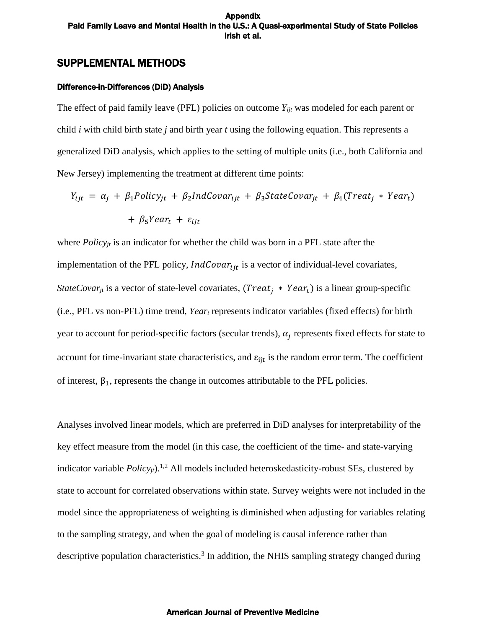# SUPPLEMENTAL METHODS

### Difference-in-Differences (DiD) Analysis

The effect of paid family leave (PFL) policies on outcome  $Y_{ijt}$  was modeled for each parent or child *i* with child birth state *j* and birth year *t* using the following equation. This represents a generalized DiD analysis, which applies to the setting of multiple units (i.e., both California and New Jersey) implementing the treatment at different time points:

$$
Y_{ijt} = \alpha_j + \beta_1 Policy_{jt} + \beta_2 IndCovar_{ijt} + \beta_3 StateCovar_{jt} + \beta_4 (Treat_j * Year_t)
$$
  
+ 
$$
\beta_5 Year_t + \varepsilon_{ijt}
$$

where *Policyjt* is an indicator for whether the child was born in a PFL state after the implementation of the PFL policy,  $IndCovar_{ijt}$  is a vector of individual-level covariates, *StateCovar<sub>it</sub>* is a vector of state-level covariates, (*Treat<sub>i</sub>* \* *Year<sub>t</sub>*) is a linear group-specific (i.e., PFL vs non-PFL) time trend, *Year<sup>t</sup>* represents indicator variables (fixed effects) for birth year to account for period-specific factors (secular trends),  $\alpha_j$  represents fixed effects for state to account for time-invariant state characteristics, and  $\varepsilon_{ijt}$  is the random error term. The coefficient of interest,  $\beta_1$ , represents the change in outcomes attributable to the PFL policies.

Analyses involved linear models, which are preferred in DiD analyses for interpretability of the key effect measure from the model (in this case, the coefficient of the time- and state-varying indicator variable *Policy<sub>it</sub>*).<sup>[1,2](https://paperpile.com/c/j62exW/DVE46+4bk2q)</sup> All models included heteroskedasticity-robust SEs, clustered by state to account for correlated observations within state. Survey weights were not included in the model since the appropriateness of weighting is diminished when adjusting for variables relating to the sampling strategy, and when the goal of modeling is causal inference rather than descriptive population characteristics.<sup>[3](https://paperpile.com/c/j62exW/fRFQ0)</sup> In addition, the NHIS sampling strategy changed during

### American Journal of Preventive Medicine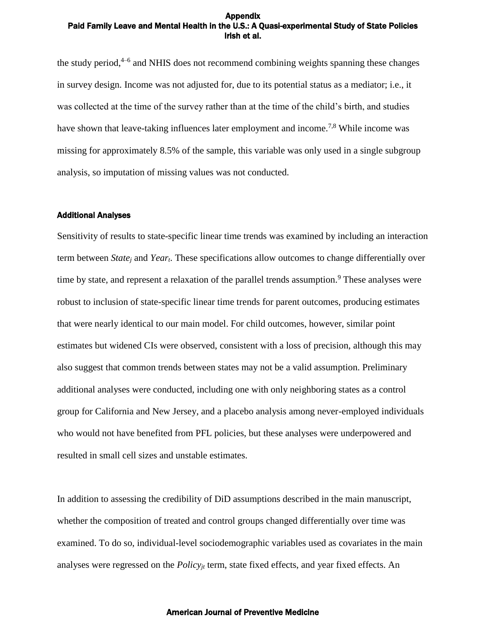the study period,<sup>[4–6](https://paperpile.com/c/j62exW/heWS7+X8tp2+Rb77G)</sup> and NHIS does not recommend combining weights spanning these changes in survey design. Income was not adjusted for, due to its potential status as a mediator; i.e., it was collected at the time of the survey rather than at the time of the child's birth, and studies have shown that leave-taking influences later employment and income.<sup>[7,8](https://paperpile.com/c/j62exW/mU6Bq+50nCV)</sup> While income was missing for approximately 8.5% of the sample, this variable was only used in a single subgroup analysis, so imputation of missing values was not conducted.

### Additional Analyses

Sensitivity of results to state-specific linear time trends was examined by including an interaction term between *State<sup>j</sup>* and *Yeart*. These specifications allow outcomes to change differentially over time by state, and represent a relaxation of the parallel trends assumption.<sup>[9](https://paperpile.com/c/j62exW/XTpmB)</sup> These analyses were robust to inclusion of state-specific linear time trends for parent outcomes, producing estimates that were nearly identical to our main model. For child outcomes, however, similar point estimates but widened CIs were observed, consistent with a loss of precision, although this may also suggest that common trends between states may not be a valid assumption. Preliminary additional analyses were conducted, including one with only neighboring states as a control group for California and New Jersey, and a placebo analysis among never-employed individuals who would not have benefited from PFL policies, but these analyses were underpowered and resulted in small cell sizes and unstable estimates.

In addition to assessing the credibility of DiD assumptions described in the main manuscript, whether the composition of treated and control groups changed differentially over time was examined. To do so, individual-level sociodemographic variables used as covariates in the main analyses were regressed on the *Policyjt* term, state fixed effects, and year fixed effects. An

### American Journal of Preventive Medicine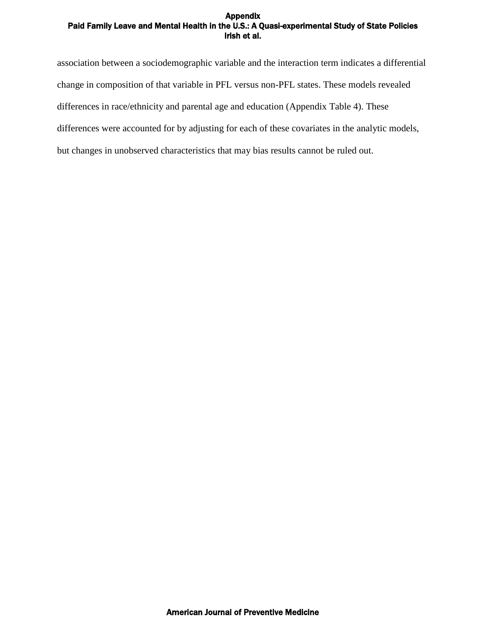association between a sociodemographic variable and the interaction term indicates a differential change in composition of that variable in PFL versus non-PFL states. These models revealed differences in race/ethnicity and parental age and education (Appendix Table 4). These differences were accounted for by adjusting for each of these covariates in the analytic models, but changes in unobserved characteristics that may bias results cannot be ruled out.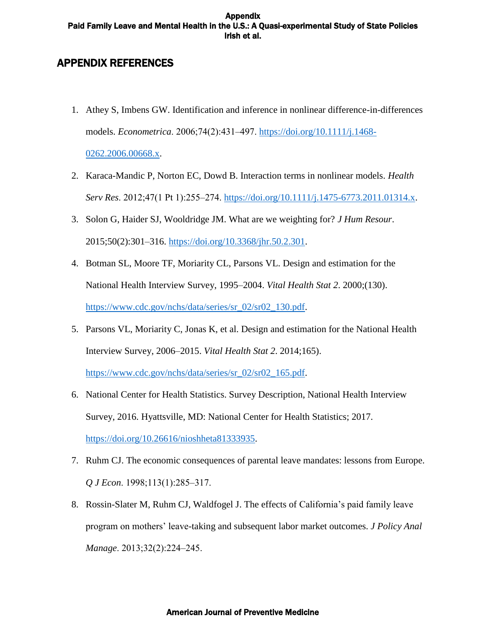# APPENDIX REFERENCES

- 1. Athey S, Imbens GW. Identification and inference in nonlinear difference-in-differences models. *Econometrica*. 2006;74(2):431‒497. [https://doi.org/10.1111/j.1468-](https://doi.org/10.1111/j.1468-0262.2006.00668.x) [0262.2006.00668.x.](https://doi.org/10.1111/j.1468-0262.2006.00668.x)
- 2. Karaca-Mandic P, Norton EC, Dowd B. Interaction terms in nonlinear models. *Health Serv Res.* 2012;47(1 Pt 1):255–274. [https://doi.org/10.1111/j.1475-6773.2011.01314.x.](https://doi.org/10.1111/j.1475-6773.2011.01314.x)
- 3. Solon G, Haider SJ, Wooldridge JM. What are we weighting for? *J Hum Resour*. 2015;50(2):301‒316. [https://doi.org/10.3368/jhr.50.2.301.](https://doi.org/10.3368/jhr.50.2.301)
- 4. Botman SL, Moore TF, Moriarity CL, Parsons VL. Design and estimation for the National Health Interview Survey, 1995–2004. *Vital Health Stat 2*. 2000;(130). [https://www.cdc.gov/nchs/data/series/sr\\_02/sr02\\_130.pdf.](https://www.cdc.gov/nchs/data/series/sr_02/sr02_130.pdf)
- 5. Parsons VL, Moriarity C, Jonas K, et al. Design and estimation for the National Health Interview Survey, 2006–2015. *Vital Health Stat 2*. 2014;165).

[https://www.cdc.gov/nchs/data/series/sr\\_02/sr02\\_165.pdf.](https://www.cdc.gov/nchs/data/series/sr_02/sr02_165.pdf)

- 6. National Center for Health Statistics. Survey Description, National Health Interview Survey, 2016. Hyattsville, MD: National Center for Health Statistics; 2017. [https://doi.org/10.26616/nioshheta81333935.](https://doi.org/10.26616/nioshheta81333935)
- 7. Ruhm CJ. The economic consequences of parental leave mandates: lessons from Europe. *Q J Econ*. 1998;113(1):285‒317.
- 8. Rossin-Slater M, Ruhm CJ, Waldfogel J. The effects of California's paid family leave program on mothers' leave-taking and subsequent labor market outcomes. *J Policy Anal Manage*. 2013;32(2):224‒245.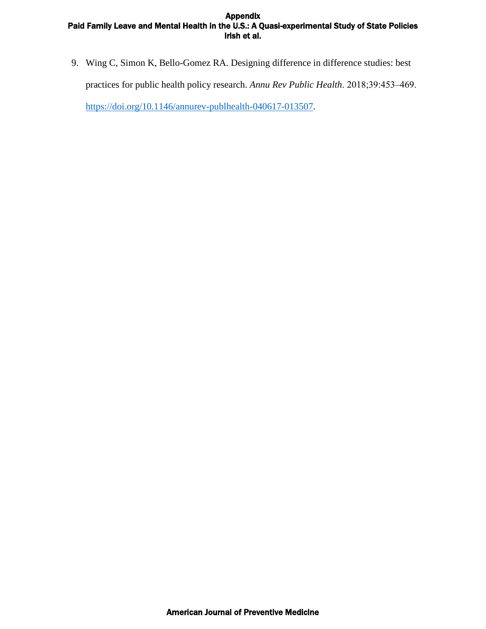9. Wing C, Simon K, Bello-Gomez RA. Designing difference in difference studies: best practices for public health policy research. Annu Rev Public Health. 2018;39:453-469.

[https://doi.org/10.1146/annurev-publhealth-040617-013507.](https://doi.org/10.1146/annurev-publhealth-040617-013507)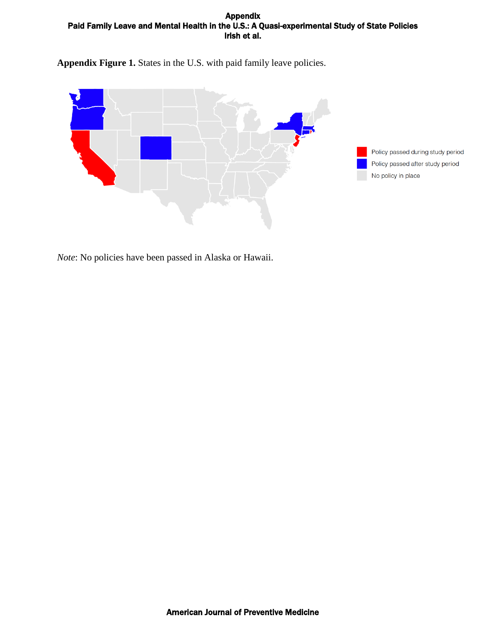**Appendix Figure 1.** States in the U.S. with paid family leave policies.





*Note*: No policies have been passed in Alaska or Hawaii.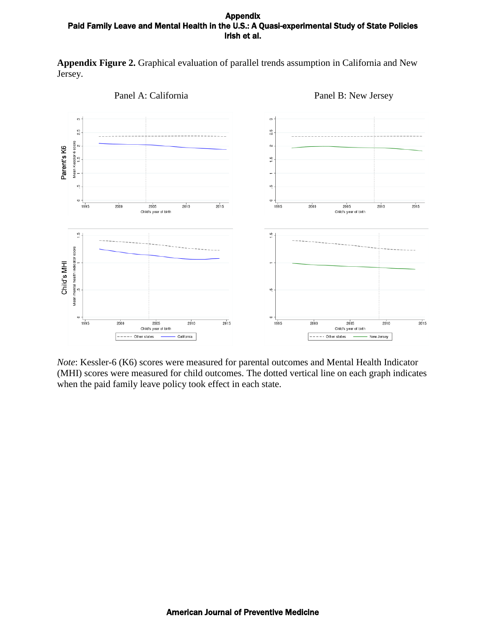**Appendix Figure 2.** Graphical evaluation of parallel trends assumption in California and New Jersey.



*Note*: Kessler-6 (K6) scores were measured for parental outcomes and Mental Health Indicator (MHI) scores were measured for child outcomes. The dotted vertical line on each graph indicates when the paid family leave policy took effect in each state.

Panel A: California Panel B: New Jersey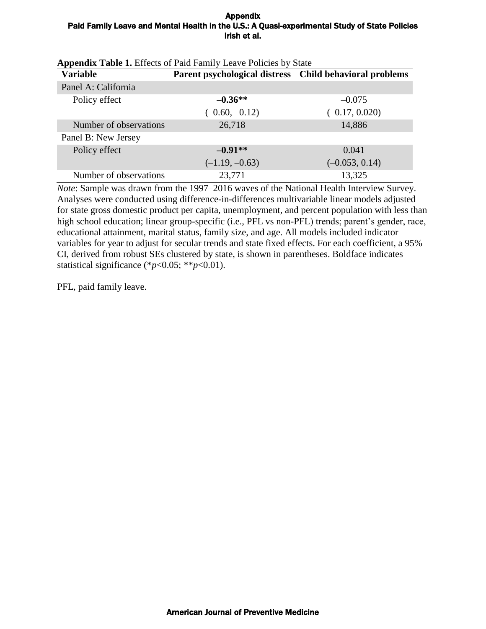| <b>Variable</b>        | Parent psychological distress Child behavioral problems |                  |
|------------------------|---------------------------------------------------------|------------------|
| Panel A: California    |                                                         |                  |
| Policy effect          | $-0.36**$                                               | $-0.075$         |
|                        | $(-0.60, -0.12)$                                        | $(-0.17, 0.020)$ |
| Number of observations | 26,718                                                  | 14,886           |
| Panel B: New Jersey    |                                                         |                  |
| Policy effect          | $-0.91**$                                               | 0.041            |
|                        | $(-1.19, -0.63)$                                        | $(-0.053, 0.14)$ |
| Number of observations | 23,771                                                  | 13,325           |

|  | <b>Appendix Table 1.</b> Effects of Paid Family Leave Policies by State |  |  |
|--|-------------------------------------------------------------------------|--|--|
|--|-------------------------------------------------------------------------|--|--|

*Note*: Sample was drawn from the 1997–2016 waves of the National Health Interview Survey. Analyses were conducted using difference-in-differences multivariable linear models adjusted for state gross domestic product per capita, unemployment, and percent population with less than high school education; linear group-specific (i.e., PFL vs non-PFL) trends; parent's gender, race, educational attainment, marital status, family size, and age. All models included indicator variables for year to adjust for secular trends and state fixed effects. For each coefficient, a 95% CI, derived from robust SEs clustered by state, is shown in parentheses. Boldface indicates statistical significance (\**p*<0.05; \*\**p*<0.01).

PFL, paid family leave.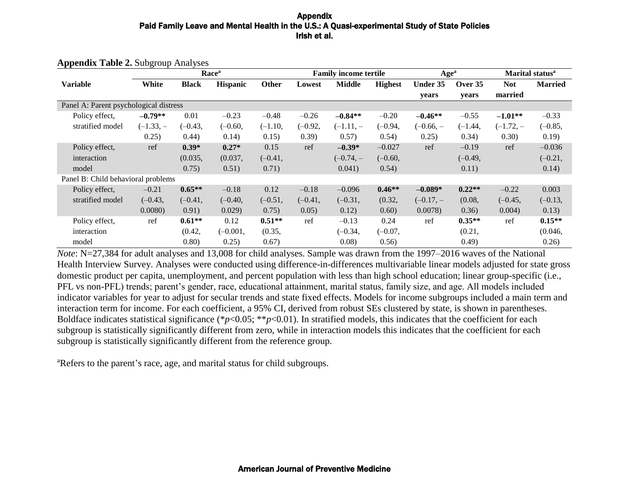|                                        |             |              | Race <sup>a</sup> |           |           | <b>Family income tertile</b> |                | Age <sup>a</sup> |           |            | Marital status <sup>a</sup> |
|----------------------------------------|-------------|--------------|-------------------|-----------|-----------|------------------------------|----------------|------------------|-----------|------------|-----------------------------|
| <b>Variable</b>                        | White       | <b>Black</b> | <b>Hispanic</b>   | Other     | Lowest    | <b>Middle</b>                | <b>Highest</b> | Under 35         | Over 35   | <b>Not</b> | <b>Married</b>              |
|                                        |             |              |                   |           |           |                              |                | years            | years     | married    |                             |
| Panel A: Parent psychological distress |             |              |                   |           |           |                              |                |                  |           |            |                             |
| Policy effect,                         | $-0.79**$   | 0.01         | $-0.23$           | $-0.48$   | $-0.26$   | $-0.84**$                    | $-0.20$        | $-0.46**$        | $-0.55$   | $-1.01**$  | $-0.33$                     |
| stratified model                       | $(-1.33, -$ | $(-0.43,$    | $(-0.60,$         | $(-1.10,$ | $(-0.92,$ | $(-1.11,-$                   | $(-0.94,$      | $(-0.66, -$      | $(-1.44,$ | $(-1.72,-$ | $(-0.85,$                   |
|                                        | 0.25)       | 0.44)        | 0.14)             | 0.15)     | (0.39)    | 0.57)                        | 0.54)          | 0.25)            | 0.34)     | 0.30)      | 0.19)                       |
| Policy effect,                         | ref         | $0.39*$      | $0.27*$           | 0.15      | ref       | $-0.39*$                     | $-0.027$       | ref              | $-0.19$   | ref        | $-0.036$                    |
| interaction                            |             | (0.035,      | (0.037,           | $(-0.41,$ |           | $(-0.74, -$                  | $(-0.60,$      |                  | $(-0.49,$ |            | $(-0.21,$                   |
| model                                  |             | 0.75)        | 0.51)             | 0.71)     |           | 0.041)                       | 0.54)          |                  | 0.11)     |            | 0.14)                       |
| Panel B: Child behavioral problems     |             |              |                   |           |           |                              |                |                  |           |            |                             |
| Policy effect,                         | $-0.21$     | $0.65**$     | $-0.18$           | 0.12      | $-0.18$   | $-0.096$                     | $0.46**$       | $-0.089*$        | $0.22**$  | $-0.22$    | 0.003                       |
| stratified model                       | $(-0.43,$   | $(-0.41,$    | $(-0.40,$         | $(-0.51,$ | $(-0.41,$ | $(-0.31,$                    | (0.32,         | $(-0.17,-$       | (0.08,    | $(-0.45,$  | $(-0.13,$                   |
|                                        | 0.0080      | 0.91)        | 0.029             | 0.75)     | 0.05)     | 0.12)                        | 0.60)          | 0.0078           | 0.36)     | 0.004)     | 0.13)                       |
| Policy effect,                         | ref         | $0.61**$     | 0.12              | $0.51**$  | ref       | $-0.13$                      | 0.24           | ref              | $0.35**$  | ref        | $0.15**$                    |
| interaction                            |             | (0.42,       | $(-0.001,$        | (0.35,    |           | $(-0.34,$                    | $(-0.07,$      |                  | (0.21,    |            | (0.046,                     |
| model                                  |             | 0.80)        | 0.25)             | 0.67)     |           | 0.08)                        | 0.56)          |                  | (0.49)    |            | 0.26)                       |

**Appendix Table 2.** Subgroup Analyses

*Note*: N=27,384 for adult analyses and 13,008 for child analyses. Sample was drawn from the 1997–2016 waves of the National Health Interview Survey. Analyses were conducted using difference-in-differences multivariable linear models adjusted for state gross domestic product per capita, unemployment, and percent population with less than high school education; linear group-specific (i.e., PFL vs non-PFL) trends; parent's gender, race, educational attainment, marital status, family size, and age. All models included indicator variables for year to adjust for secular trends and state fixed effects. Models for income subgroups included a main term and interaction term for income. For each coefficient, a 95% CI, derived from robust SEs clustered by state, is shown in parentheses. Boldface indicates statistical significance (\**p*<0.05; \*\**p*<0.01). In stratified models, this indicates that the coefficient for each subgroup is statistically significantly different from zero, while in interaction models this indicates that the coefficient for each subgroup is statistically significantly different from the reference group.

<sup>a</sup>Refers to the parent's race, age, and marital status for child subgroups.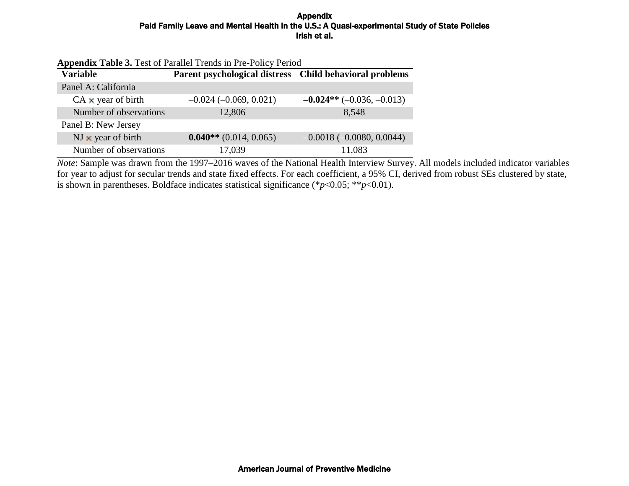| <b>Appendix Table 3.</b> Test of Parallel Trends in Pre-Policy Period |                                                         |                            |  |  |  |
|-----------------------------------------------------------------------|---------------------------------------------------------|----------------------------|--|--|--|
| <b>Variable</b>                                                       | Parent psychological distress Child behavioral problems |                            |  |  |  |
| Panel A: California                                                   |                                                         |                            |  |  |  |
| $CA \times year$ of birth                                             | $-0.024 (-0.069, 0.021)$                                | $-0.024**(-0.036,-0.013)$  |  |  |  |
| Number of observations                                                | 12,806                                                  | 8,548                      |  |  |  |
| Panel B: New Jersey                                                   |                                                         |                            |  |  |  |
| $NJ \times$ year of birth                                             | $0.040**$ (0.014, 0.065)                                | $-0.0018(-0.0080, 0.0044)$ |  |  |  |
| Number of observations                                                | 17,039                                                  | 11,083                     |  |  |  |

*Note*: Sample was drawn from the 1997–2016 waves of the National Health Interview Survey. All models included indicator variables for year to adjust for secular trends and state fixed effects. For each coefficient, a 95% CI, derived from robust SEs clustered by state, is shown in parentheses. Boldface indicates statistical significance (\**p*<0.05; \*\**p*<0.01).